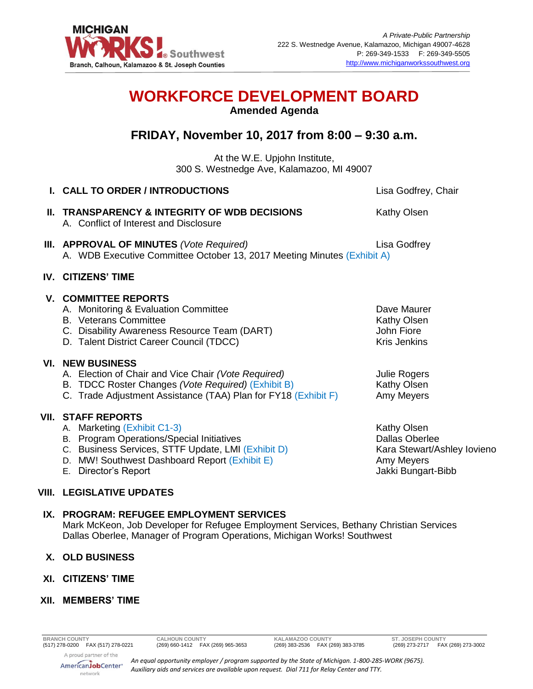

# **WORKFORCE DEVELOPMENT BOARD**

**Amended Agenda**

## **FRIDAY, November 10, 2017 from 8:00 – 9:30 a.m.**

At the W.E. Upjohn Institute, 300 S. Westnedge Ave, Kalamazoo, MI 49007

| I. CALL TO ORDER / INTRODUCTIONS                                                                                                                                                                                                     | Lisa Godfrey, Chair                                                                                     |
|--------------------------------------------------------------------------------------------------------------------------------------------------------------------------------------------------------------------------------------|---------------------------------------------------------------------------------------------------------|
| II. TRANSPARENCY & INTEGRITY OF WDB DECISIONS<br>A. Conflict of Interest and Disclosure                                                                                                                                              | Kathy Olsen                                                                                             |
| <b>III. APPROVAL OF MINUTES</b> (Vote Required)<br>A. WDB Executive Committee October 13, 2017 Meeting Minutes (Exhibit A)                                                                                                           | Lisa Godfrey                                                                                            |
| <b>IV. CITIZENS' TIME</b>                                                                                                                                                                                                            |                                                                                                         |
| <b>V. COMMITTEE REPORTS</b><br>A. Monitoring & Evaluation Committee<br><b>B.</b> Veterans Committee<br>C. Disability Awareness Resource Team (DART)<br>D. Talent District Career Council (TDCC)                                      | Dave Maurer<br><b>Kathy Olsen</b><br>John Fiore<br><b>Kris Jenkins</b>                                  |
| <b>VI. NEW BUSINESS</b><br>A. Election of Chair and Vice Chair (Vote Required)<br>B. TDCC Roster Changes (Vote Required) (Exhibit B)<br>C. Trade Adjustment Assistance (TAA) Plan for FY18 (Exhibit F)                               | <b>Julie Rogers</b><br>Kathy Olsen<br>Amy Meyers                                                        |
| <b>VII. STAFF REPORTS</b><br>A. Marketing (Exhibit C1-3)<br>B. Program Operations/Special Initiatives<br>C. Business Services, STTF Update, LMI (Exhibit D)<br>D. MW! Southwest Dashboard Report (Exhibit E)<br>E. Director's Report | Kathy Olsen<br><b>Dallas Oberlee</b><br>Kara Stewart/Ashley Iovieno<br>Amy Meyers<br>Jakki Bungart-Bibb |
| <b>VIII. LEGISLATIVE UPDATES</b>                                                                                                                                                                                                     |                                                                                                         |
| IX. PROGRAM: REFUGEE EMPLOYMENT SERVICES                                                                                                                                                                                             |                                                                                                         |

Mark McKeon, Job Developer for Refugee Employment Services, Bethany Christian Services Dallas Oberlee, Manager of Program Operations, Michigan Works! Southwest

### **X. OLD BUSINESS**

**XI. CITIZENS' TIME**

### **XII. MEMBERS' TIME**

A proud partner of the AmericanJobCenter\* network

*An equal opportunity employer / program supported by the State of Michigan. 1-800-285-WORK (9675). Auxiliary aids and services are available upon request. Dial 711 for Relay Center and TTY.*